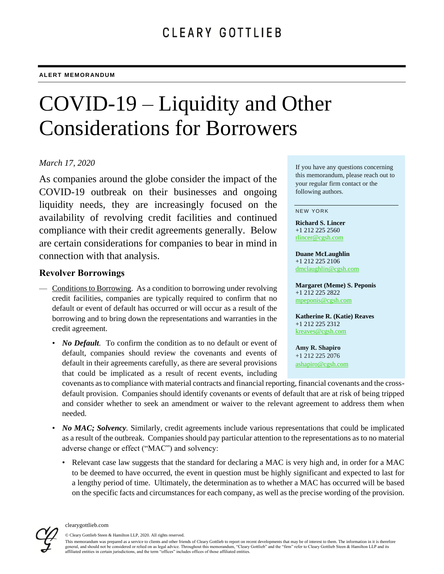# COVID-19 – Liquidity and Other Considerations for Borrowers

## *March 17, 2020*

As companies around the globe consider the impact of the COVID-19 outbreak on their businesses and ongoing liquidity needs, they are increasingly focused on the availability of revolving credit facilities and continued compliance with their credit agreements generally. Below are certain considerations for companies to bear in mind in connection with that analysis.

## **Revolver Borrowings**

- Conditions to Borrowing. As a condition to borrowing under revolving credit facilities, companies are typically required to confirm that no default or event of default has occurred or will occur as a result of the borrowing and to bring down the representations and warranties in the credit agreement.
	- *No Default*. To confirm the condition as to no default or event of default, companies should review the covenants and events of default in their agreements carefully, as there are several provisions that could be implicated as a result of recent events, including

If you have any questions concerning this memorandum, please reach out to your regular firm contact or the following authors.

#### NEW YORK

**Richard S. Lincer** +1 212 225 2560 [rlincer@cgsh.com](mailto:rlincer@cgsh.com)

**Duane McLaughlin** +1 212 225 2106 [dmclaughlin@cgsh.com](mailto:dmclaughlin@cgsh.com)

**Margaret (Meme) S. Peponis** +1 212 225 2822 [mpeponis@cgsh.com](mailto:mpeponis@cgsh.com)

**Katherine R. (Katie) Reaves** +1 212 225 2312 [kreaves@cgsh.com](mailto:kreaves@cgsh.com)

**Amy R. Shapiro** +1 212 225 2076 [ashapiro@cgsh.com](mailto:ashapiro@cgsh.com)

covenants as to compliance with material contracts and financial reporting, financial covenants and the crossdefault provision. Companies should identify covenants or events of default that are at risk of being tripped and consider whether to seek an amendment or waiver to the relevant agreement to address them when needed.

- *No MAC; Solvency.* Similarly, credit agreements include various representations that could be implicated as a result of the outbreak. Companies should pay particular attention to the representations as to no material adverse change or effect ("MAC") and solvency:
	- Relevant case law suggests that the standard for declaring a MAC is very high and, in order for a MAC to be deemed to have occurred, the event in question must be highly significant and expected to last for a lengthy period of time. Ultimately, the determination as to whether a MAC has occurred will be based on the specific facts and circumstances for each company, as well as the precise wording of the provision.



© Cleary Gottlieb Steen & Hamilton LLP, 2020. All rights reserved.

This memorandum was prepared as a service to clients and other friends of Cleary Gottlieb to report on recent developments that may be of interest to them. The information in it is therefore general, and should not be considered or relied on as legal advice. Throughout this memorandum, "Cleary Gottlieb" and the "firm" refer to Cleary Gottlieb Steen & Hamilton LLP and its affiliated entities in certain jurisdictions, and the term "offices" includes offices of those affiliated entities.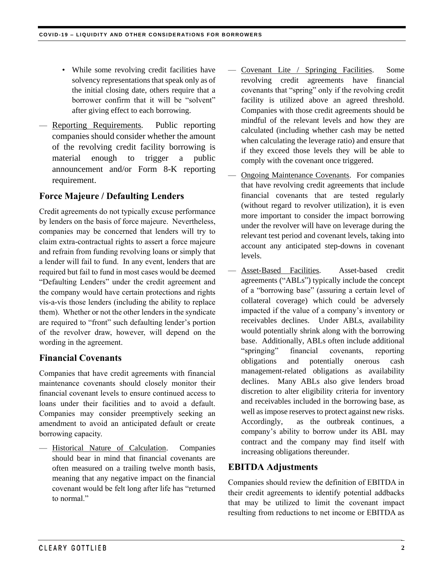- While some revolving credit facilities have solvency representations that speak only as of the initial closing date, others require that a borrower confirm that it will be "solvent" after giving effect to each borrowing.
- Reporting Requirements*.* Public reporting companies should consider whether the amount of the revolving credit facility borrowing is material enough to trigger a public announcement and/or Form 8-K reporting requirement.

## **Force Majeure / Defaulting Lenders**

Credit agreements do not typically excuse performance by lenders on the basis of force majeure. Nevertheless, companies may be concerned that lenders will try to claim extra-contractual rights to assert a force majeure and refrain from funding revolving loans or simply that a lender will fail to fund. In any event, lenders that are required but fail to fund in most cases would be deemed "Defaulting Lenders" under the credit agreement and the company would have certain protections and rights vís-a-vís those lenders (including the ability to replace them). Whether or not the other lenders in the syndicate are required to "front" such defaulting lender's portion of the revolver draw, however, will depend on the wording in the agreement.

## **Financial Covenants**

Companies that have credit agreements with financial maintenance covenants should closely monitor their financial covenant levels to ensure continued access to loans under their facilities and to avoid a default. Companies may consider preemptively seeking an amendment to avoid an anticipated default or create borrowing capacity.

— Historical Nature of Calculation. Companies should bear in mind that financial covenants are often measured on a trailing twelve month basis, meaning that any negative impact on the financial covenant would be felt long after life has "returned to normal."

- Covenant Lite / Springing Facilities. Some revolving credit agreements have financial covenants that "spring" only if the revolving credit facility is utilized above an agreed threshold. Companies with those credit agreements should be mindful of the relevant levels and how they are calculated (including whether cash may be netted when calculating the leverage ratio) and ensure that if they exceed those levels they will be able to comply with the covenant once triggered.
- **Ongoing Maintenance Covenants.** For companies that have revolving credit agreements that include financial covenants that are tested regularly (without regard to revolver utilization), it is even more important to consider the impact borrowing under the revolver will have on leverage during the relevant test period and covenant levels, taking into account any anticipated step-downs in covenant levels.
- Asset-Based Facilities. Asset-based credit agreements ("ABLs") typically include the concept of a "borrowing base" (assuring a certain level of collateral coverage) which could be adversely impacted if the value of a company's inventory or receivables declines. Under ABLs, availability would potentially shrink along with the borrowing base. Additionally, ABLs often include additional "springing" financial covenants, reporting obligations and potentially onerous cash management-related obligations as availability declines. Many ABLs also give lenders broad discretion to alter eligibility criteria for inventory and receivables included in the borrowing base, as well as impose reserves to protect against new risks. Accordingly, as the outbreak continues, a company's ability to borrow under its ABL may contract and the company may find itself with increasing obligations thereunder.

## **EBITDA Adjustments**

Companies should review the definition of EBITDA in their credit agreements to identify potential addbacks that may be utilized to limit the covenant impact resulting from reductions to net income or EBITDA as